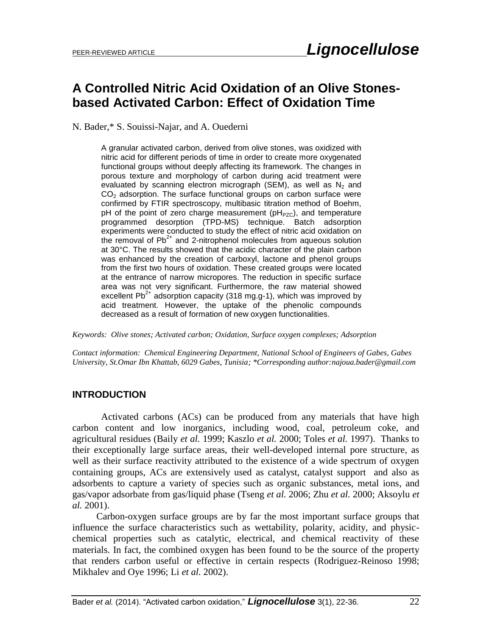## **A Controlled Nitric Acid Oxidation of an Olive Stonesbased Activated Carbon: Effect of Oxidation Time**

N. Bader,\* S. Souissi-Najar, and A. Ouederni

A granular activated carbon, derived from olive stones, was oxidized with nitric acid for different periods of time in order to create more oxygenated functional groups without deeply affecting its framework. The changes in porous texture and morphology of carbon during acid treatment were evaluated by scanning electron micrograph (SEM), as well as  $N_2$  and  $CO<sub>2</sub>$  adsorption. The surface functional groups on carbon surface were confirmed by FTIR spectroscopy, multibasic titration method of Boehm, pH of the point of zero charge measurement ( $pH<sub>PZC</sub>$ ), and temperature programmed desorption (TPD-MS) technique. Batch adsorption experiments were conducted to study the effect of nitric acid oxidation on the removal of  $Pb^{2+}$  and 2-nitrophenol molecules from aqueous solution at 30°C. The results showed that the acidic character of the plain carbon was enhanced by the creation of carboxyl, lactone and phenol groups from the first two hours of oxidation. These created groups were located at the entrance of narrow micropores. The reduction in specific surface area was not very significant. Furthermore, the raw material showed excellent  $Pb^{2+}$  adsorption capacity (318 mg.g-1), which was improved by acid treatment. However, the uptake of the phenolic compounds decreased as a result of formation of new oxygen functionalities.

*Keywords: Olive stones; Activated carbon; Oxidation, Surface oxygen complexes; Adsorption*

*Contact information: Chemical Engineering Department, National School of Engineers of Gabes, Gabes University, St.Omar Ibn Khattab, 6029 Gabes, Tunisia; \*Corresponding author:najoua.bader@gmail.com*

#### **INTRODUCTION**

Activated carbons (ACs) can be produced from any materials that have high carbon content and low inorganics, including wood, coal, petroleum coke, and agricultural residues (Baily *et al.* 1999; Kaszlo *et al.* 2000; Toles *et al.* 1997). Thanks to their exceptionally large surface areas, their well-developed internal pore structure, as well as their surface reactivity attributed to the existence of a wide spectrum of oxygen containing groups, ACs are extensively used as catalyst, catalyst support and also as adsorbents to capture a variety of species such as organic substances, metal ions, and gas/vapor adsorbate from gas/liquid phase (Tseng *et al.* 2006; Zhu *et al.* 2000; Aksoylu *et al.* 2001).

 Carbon-oxygen surface groups are by far the most important surface groups that influence the surface characteristics such as wettability, polarity, acidity, and physicchemical properties such as catalytic, electrical, and chemical reactivity of these materials. In fact, the combined oxygen has been found to be the source of the property that renders carbon useful or effective in certain respects (Rodriguez-Reinoso 1998; Mikhalev and Oye 1996; Li *et al.* 2002).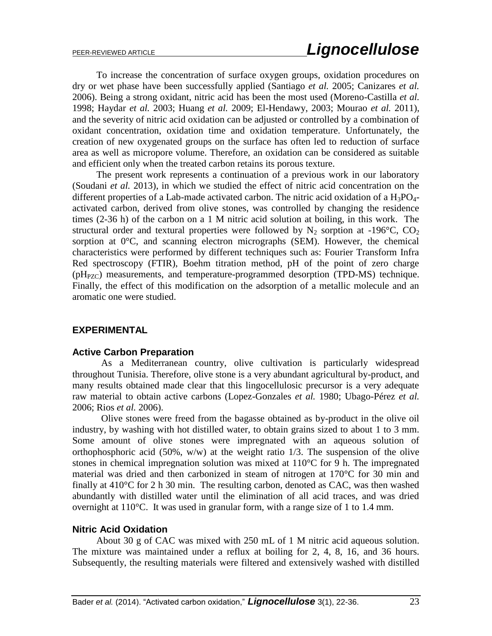To increase the concentration of surface oxygen groups, oxidation procedures on dry or wet phase have been successfully applied (Santiago *et al.* 2005; Canizares *et al.* 2006). Being a strong oxidant, nitric acid has been the most used (Moreno-Castilla *et al.* 1998; Haydar *et al.* 2003; Huang *et al.* 2009; El-Hendawy, 2003; Mourao *et al.* 2011), and the severity of nitric acid oxidation can be adjusted or controlled by a combination of oxidant concentration, oxidation time and oxidation temperature. Unfortunately, the creation of new oxygenated groups on the surface has often led to reduction of surface area as well as micropore volume. Therefore, an oxidation can be considered as suitable and efficient only when the treated carbon retains its porous texture.

 The present work represents a continuation of a previous work in our laboratory (Soudani *et al.* 2013), in which we studied the effect of nitric acid concentration on the different properties of a Lab-made activated carbon. The nitric acid oxidation of a  $H_3PO_4$ activated carbon, derived from olive stones, was controlled by changing the residence times (2-36 h) of the carbon on a 1 M nitric acid solution at boiling, in this work. The structural order and textural properties were followed by  $N_2$  sorption at -196°C, CO<sub>2</sub> sorption at 0°C, and scanning electron micrographs (SEM). However, the chemical characteristics were performed by different techniques such as: Fourier Transform Infra Red spectroscopy (FTIR), Boehm titration method, pH of the point of zero charge  $(pH<sub>PZC</sub>)$  measurements, and temperature-programmed desorption (TPD-MS) technique. Finally, the effect of this modification on the adsorption of a metallic molecule and an aromatic one were studied.

#### **EXPERIMENTAL**

#### **Active Carbon Preparation**

As a Mediterranean country, olive cultivation is particularly widespread throughout Tunisia. Therefore, olive stone is a very abundant agricultural by-product, and many results obtained made clear that this lingocellulosic precursor is a very adequate raw material to obtain active carbons (Lopez-Gonzales *et al.* 1980; Ubago-Pérez *et al.* 2006; Rios *et al.* 2006).

 Olive stones were freed from the bagasse obtained as by-product in the olive oil industry, by washing with hot distilled water, to obtain grains sized to about 1 to 3 mm. Some amount of olive stones were impregnated with an aqueous solution of orthophosphoric acid  $(50\%, w/w)$  at the weight ratio 1/3. The suspension of the olive stones in chemical impregnation solution was mixed at 110°C for 9 h. The impregnated material was dried and then carbonized in steam of nitrogen at 170°C for 30 min and finally at 410°C for 2 h 30 min. The resulting carbon, denoted as CAC, was then washed abundantly with distilled water until the elimination of all acid traces, and was dried overnight at 110°C. It was used in granular form, with a range size of 1 to 1.4 mm.

#### **Nitric Acid Oxidation**

 About 30 g of CAC was mixed with 250 mL of 1 M nitric acid aqueous solution. The mixture was maintained under a reflux at boiling for 2, 4, 8, 16, and 36 hours. Subsequently, the resulting materials were filtered and extensively washed with distilled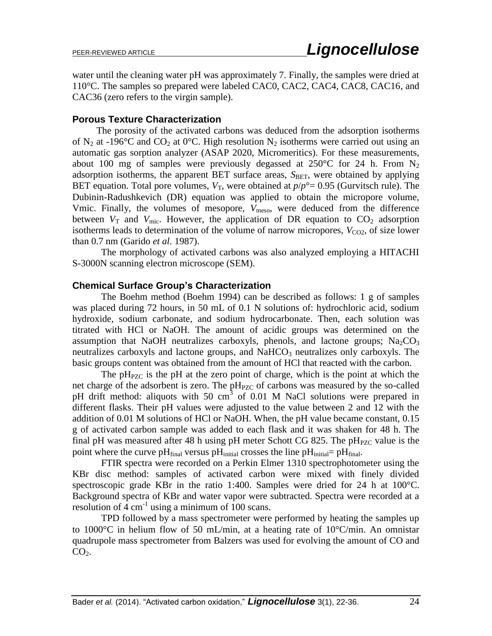water until the cleaning water pH was approximately 7. Finally, the samples were dried at 110°C. The samples so prepared were labeled CAC0, CAC2, CAC4, CAC8, CAC16, and CAC36 (zero refers to the virgin sample).

#### **Porous Texture Characterization**

 The porosity of the activated carbons was deduced from the adsorption isotherms of N<sub>2</sub> at -196°C and CO<sub>2</sub> at 0°C. High resolution N<sub>2</sub> isotherms were carried out using an automatic gas sorption analyzer (ASAP 2020, Micromeritics). For these measurements, about 100 mg of samples were previously degassed at 250 °C for 24 h. From  $N_2$ adsorption isotherms, the apparent BET surface areas,  $S_{BET}$ , were obtained by applying BET equation. Total pore volumes,  $V_T$ , were obtained at  $p/p^{\circ} = 0.95$  (Gurvitsch rule). The Dubinin-Radushkevich (DR) equation was applied to obtain the micropore volume, Vmic. Finally, the volumes of mesopore,  $V_{\text{meso}}$ , were deduced from the difference between  $V_T$  and  $V_{\text{mic}}$ . However, the application of DR equation to  $CO_2$  adsorption isotherms leads to determination of the volume of narrow micropores,  $V_{CQ2}$ , of size lower than 0.7 nm (Garido *et al.* 1987).

 The morphology of activated carbons was also analyzed employing a HITACHI S-3000N scanning electron microscope (SEM).

#### **Chemical Surface Group's Characterization**

 The Boehm method (Boehm 1994) can be described as follows: 1 g of samples was placed during 72 hours, in 50 mL of 0.1 N solutions of: hydrochloric acid, sodium hydroxide, sodium carbonate, and sodium hydrocarbonate. Then, each solution was titrated with HCl or NaOH. The amount of acidic groups was determined on the assumption that NaOH neutralizes carboxyls, phenols, and lactone groups;  $Na_2CO_3$ neutralizes carboxyls and lactone groups, and  $NaHCO<sub>3</sub>$  neutralizes only carboxyls. The basic groups content was obtained from the amount of HCl that reacted with the carbon.

The  $pH_{PZC}$  is the pH at the zero point of charge, which is the point at which the net charge of the adsorbent is zero. The pH<sub>PZC</sub> of carbons was measured by the so-called pH drift method: aliquots with 50 cm<sup>3</sup> of 0.01 M NaCl solutions were prepared in different flasks. Their pH values were adjusted to the value between 2 and 12 with the addition of 0.01 M solutions of HCl or NaOH. When, the pH value became constant, 0.15 g of activated carbon sample was added to each flask and it was shaken for 48 h. The final pH was measured after 48 h using pH meter Schott CG 825. The  $pH_{PZC}$  value is the point where the curve pH $_{final}$  versus pH $_{initial}$  crosses the line pH $_{initial}$ = pH $_{final}$ .

 FTIR spectra were recorded on a Perkin Elmer 1310 spectrophotometer using the KBr disc method: samples of activated carbon were mixed with finely divided spectroscopic grade KBr in the ratio 1:400. Samples were dried for 24 h at  $100^{\circ}$ C. Background spectra of KBr and water vapor were subtracted. Spectra were recorded at a resolution of  $\overline{4}$  cm<sup>-1</sup> using a minimum of 100 scans.

 TPD followed by a mass spectrometer were performed by heating the samples up to 1000°C in helium flow of 50 mL/min, at a heating rate of 10°C/min. An omnistar quadrupole mass spectrometer from Balzers was used for evolving the amount of CO and  $CO<sub>2</sub>$ .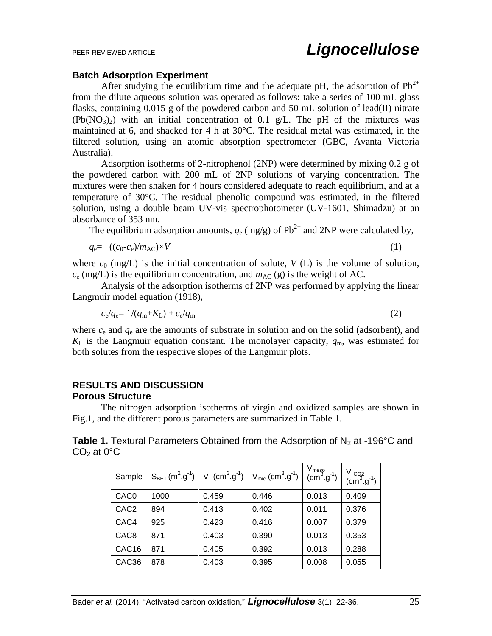#### **Batch Adsorption Experiment**

After studying the equilibrium time and the adequate pH, the adsorption of  $Pb^{2+}$ from the dilute aqueous solution was operated as follows: take a series of 100 mL glass flasks, containing 0.015 g of the powdered carbon and 50 mL solution of lead(II) nitrate  $(Pb(NO<sub>3</sub>)<sub>2</sub>)$  with an initial concentration of 0.1 g/L. The pH of the mixtures was maintained at 6, and shacked for 4 h at 30°C. The residual metal was estimated, in the filtered solution, using an atomic absorption spectrometer (GBC, Avanta Victoria Australia).

 Adsorption isotherms of 2-nitrophenol (2NP) were determined by mixing 0.2 g of the powdered carbon with 200 mL of 2NP solutions of varying concentration. The mixtures were then shaken for 4 hours considered adequate to reach equilibrium, and at a temperature of 30°C. The residual phenolic compound was estimated, in the filtered solution, using a double beam UV-vis spectrophotometer (UV-1601, Shimadzu) at an absorbance of 353 nm.

The equilibrium adsorption amounts,  $q_e$  (mg/g) of Pb<sup>2+</sup> and 2NP were calculated by,

$$
q_{\rm e} = ((c_0 - c_{\rm e})/m_{\rm AC}) \times V \tag{1}
$$

$$
(1)
$$

where  $c_0$  (mg/L) is the initial concentration of solute,  $V(L)$  is the volume of solution,  $c_{\rm e}$  (mg/L) is the equilibrium concentration, and  $m_{\rm AC}$  (g) is the weight of AC.

Analysis of the adsorption isotherms of 2NP was performed by applying the linear Langmuir model equation (1918),

$$
c_{\rm e}/q_{\rm e} = 1/(q_{\rm m}+K_{\rm L}) + c_{\rm e}/q_{\rm m} \tag{2}
$$

where *c*<sup>e</sup> and *q*<sup>e</sup> are the amounts of substrate in solution and on the solid (adsorbent), and  $K_{\text{L}}$  is the Langmuir equation constant. The monolayer capacity,  $q_{\text{m}}$ , was estimated for both solutes from the respective slopes of the Langmuir plots.

## **RESULTS AND DISCUSSION**

**Porous Structure**

The nitrogen adsorption isotherms of virgin and oxidized samples are shown in Fig.1, and the different porous parameters are summarized in Table 1.

**Table 1.** Textural Parameters Obtained from the Adsorption of  $N_2$  at -196°C and  $CO<sub>2</sub>$  at 0 $^{\circ}$ C

| Sample           | $S_{BET}(m^2 \, g^1)$ | $V_T$ (cm <sup>3</sup> .g <sup>-1</sup> ) | $V_{\text{mic}}$ (cm <sup>3</sup> .g <sup>-1</sup> ) | $V_{\text{meso}}$<br>(cm <sup>3</sup> .g <sup>-1</sup> ) | $V_{CO2}$<br>(cm <sup>3</sup> .g <sup>-1</sup> ) |
|------------------|-----------------------|-------------------------------------------|------------------------------------------------------|----------------------------------------------------------|--------------------------------------------------|
| CAC <sub>0</sub> | 1000                  | 0.459                                     | 0.446                                                | 0.013                                                    | 0.409                                            |
| CAC <sub>2</sub> | 894                   | 0.413                                     | 0.402                                                | 0.011                                                    | 0.376                                            |
| CAC4             | 925                   | 0.423                                     | 0.416                                                | 0.007                                                    | 0.379                                            |
| CAC <sub>8</sub> | 871                   | 0.403                                     | 0.390                                                | 0.013                                                    | 0.353                                            |
| CAC16            | 871                   | 0.405                                     | 0.392                                                | 0.013                                                    | 0.288                                            |
| CAC36            | 878                   | 0.403                                     | 0.395                                                | 0.008                                                    | 0.055                                            |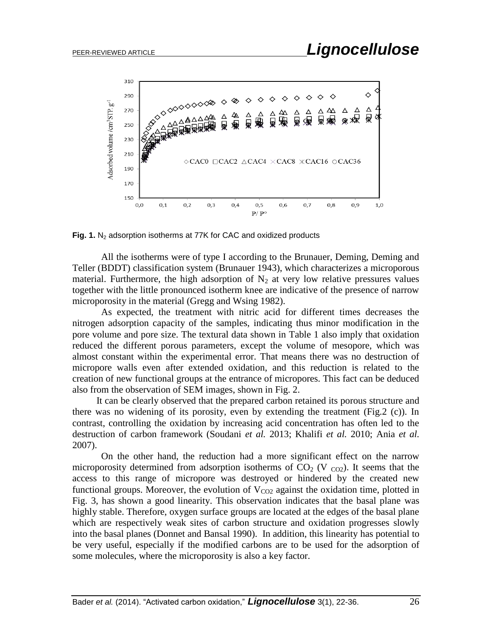

**Fig. 1.** N<sub>2</sub> adsorption isotherms at 77K for CAC and oxidized products

All the isotherms were of type I according to the Brunauer, Deming, Deming and Teller (BDDT) classification system (Brunauer 1943), which characterizes a microporous material. Furthermore, the high adsorption of  $N<sub>2</sub>$  at very low relative pressures values together with the little pronounced isotherm knee are indicative of the presence of narrow microporosity in the material (Gregg and Wsing 1982).

As expected, the treatment with nitric acid for different times decreases the nitrogen adsorption capacity of the samples, indicating thus minor modification in the pore volume and pore size. The textural data shown in Table 1 also imply that oxidation reduced the different porous parameters, except the volume of mesopore, which was almost constant within the experimental error. That means there was no destruction of micropore walls even after extended oxidation, and this reduction is related to the creation of new functional groups at the entrance of micropores. This fact can be deduced also from the observation of SEM images, shown in Fig. 2.

 It can be clearly observed that the prepared carbon retained its porous structure and there was no widening of its porosity, even by extending the treatment (Fig.2  $(c)$ ). In contrast, controlling the oxidation by increasing acid concentration has often led to the destruction of carbon framework (Soudani *et al.* 2013; Khalifi *et al.* 2010; Ania *et al.* 2007).

On the other hand, the reduction had a more significant effect on the narrow microporosity determined from adsorption isotherms of  $CO<sub>2</sub>$  (V  $_{CO<sub>2</sub>}$ ). It seems that the access to this range of micropore was destroyed or hindered by the created new functional groups. Moreover, the evolution of  $V_{CO2}$  against the oxidation time, plotted in Fig. 3, has shown a good linearity. This observation indicates that the basal plane was highly stable. Therefore, oxygen surface groups are located at the edges of the basal plane which are respectively weak sites of carbon structure and oxidation progresses slowly into the basal planes (Donnet and Bansal 1990). In addition, this linearity has potential to be very useful, especially if the modified carbons are to be used for the adsorption of some molecules, where the microporosity is also a key factor.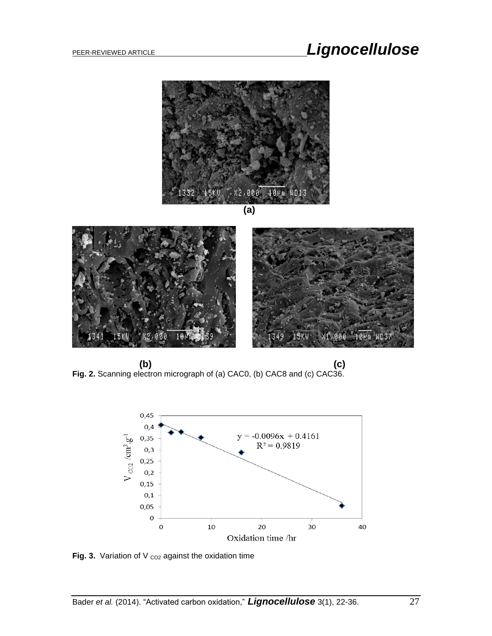# PEER-REVIEWED ARTICLE **Lignocellulose**



 **(b) (c) Fig. 2.** Scanning electron micrograph of (a) CAC0, (b) CAC8 and (c) CAC36.



**Fig. 3.** Variation of V  $_{CO2}$  against the oxidation time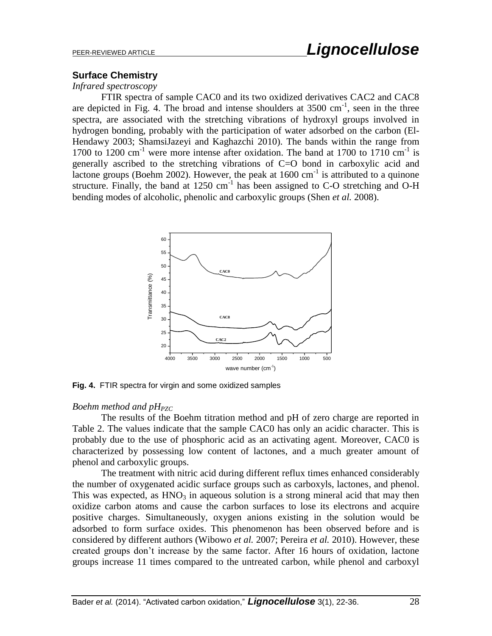#### **Surface Chemistry**

#### *Infrared spectroscopy*

FTIR spectra of sample CAC0 and its two oxidized derivatives CAC2 and CAC8 are depicted in Fig. 4. The broad and intense shoulders at  $3500 \text{ cm}^{-1}$ , seen in the three spectra, are associated with the stretching vibrations of hydroxyl groups involved in hydrogen bonding, probably with the participation of water adsorbed on the carbon (El-Hendawy 2003; ShamsiJazeyi and Kaghazchi 2010). The bands within the range from 1700 to  $1200 \text{ cm}^{-1}$  were more intense after oxidation. The band at 1700 to 1710 cm<sup>-1</sup> is generally ascribed to the stretching vibrations of C=O bond in carboxylic acid and lactone groups (Boehm 2002). However, the peak at  $1600 \text{ cm}^{-1}$  is attributed to a quinone structure. Finally, the band at  $1250 \text{ cm}^{-1}$  has been assigned to C-O stretching and O-H bending modes of alcoholic, phenolic and carboxylic groups (Shen *et al.* 2008).



**Fig. 4.** FTIR spectra for virgin and some oxidized samples

#### *Boehm method and pH<sub>PZC</sub>*

 The results of the Boehm titration method and pH of zero charge are reported in Table 2. The values indicate that the sample CAC0 has only an acidic character. This is probably due to the use of phosphoric acid as an activating agent. Moreover, CAC0 is characterized by possessing low content of lactones, and a much greater amount of phenol and carboxylic groups.

 The treatment with nitric acid during different reflux times enhanced considerably the number of oxygenated acidic surface groups such as carboxyls, lactones, and phenol. This was expected, as  $HNO<sub>3</sub>$  in aqueous solution is a strong mineral acid that may then oxidize carbon atoms and cause the carbon surfaces to lose its electrons and acquire positive charges. Simultaneously, oxygen anions existing in the solution would be adsorbed to form surface oxides. This phenomenon has been observed before and is considered by different authors (Wibowo *et al.* 2007; Pereira *et al.* 2010). However, these created groups don't increase by the same factor. After 16 hours of oxidation, lactone groups increase 11 times compared to the untreated carbon, while phenol and carboxyl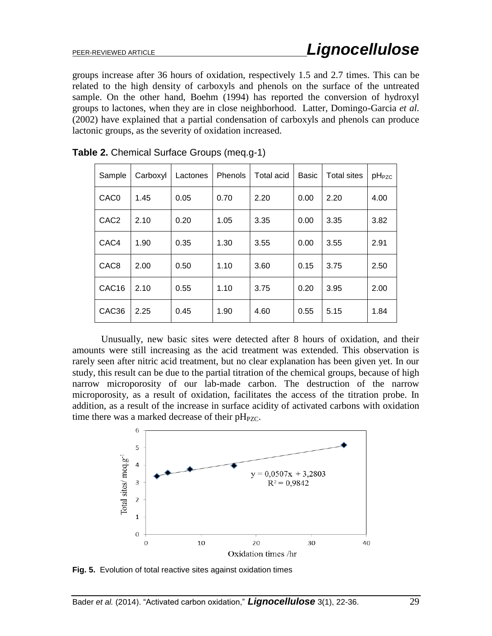groups increase after 36 hours of oxidation, respectively 1.5 and 2.7 times. This can be related to the high density of carboxyls and phenols on the surface of the untreated sample. On the other hand, Boehm (1994) has reported the conversion of hydroxyl groups to lactones, when they are in close neighborhood. Latter, Domingo-Garcia *et al.* (2002) have explained that a partial condensation of carboxyls and phenols can produce lactonic groups, as the severity of oxidation increased.

| Sample           | Carboxyl | Lactones | Phenols | Total acid | <b>Basic</b> | <b>Total sites</b> | $pH_{PZC}$ |
|------------------|----------|----------|---------|------------|--------------|--------------------|------------|
| CAC <sub>0</sub> | 1.45     | 0.05     | 0.70    | 2.20       | 0.00         | 2.20               | 4.00       |
| CAC <sub>2</sub> | 2.10     | 0.20     | 1.05    | 3.35       | 0.00         | 3.35               | 3.82       |
| CAC4             | 1.90     | 0.35     | 1.30    | 3.55       | 0.00         | 3.55               | 2.91       |
| CAC <sub>8</sub> | 2.00     | 0.50     | 1.10    | 3.60       | 0.15         | 3.75               | 2.50       |
| CAC16            | 2.10     | 0.55     | 1.10    | 3.75       | 0.20         | 3.95               | 2.00       |
| CAC36            | 2.25     | 0.45     | 1.90    | 4.60       | 0.55         | 5.15               | 1.84       |

**Table 2.** Chemical Surface Groups (meq.g-1)

 Unusually, new basic sites were detected after 8 hours of oxidation, and their amounts were still increasing as the acid treatment was extended. This observation is rarely seen after nitric acid treatment, but no clear explanation has been given yet. In our study, this result can be due to the partial titration of the chemical groups, because of high narrow microporosity of our lab-made carbon. The destruction of the narrow microporosity, as a result of oxidation, facilitates the access of the titration probe. In addition, as a result of the increase in surface acidity of activated carbons with oxidation time there was a marked decrease of their  $pH_{PZC}$ .



**Fig. 5.** Evolution of total reactive sites against oxidation times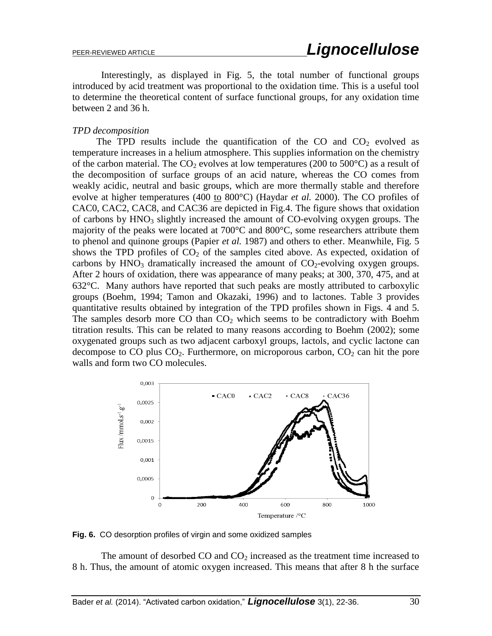Interestingly, as displayed in Fig. 5, the total number of functional groups introduced by acid treatment was proportional to the oxidation time. This is a useful tool to determine the theoretical content of surface functional groups, for any oxidation time between 2 and 36 h.

#### *TPD decomposition*

The TPD results include the quantification of the CO and  $CO<sub>2</sub>$  evolved as temperature increases in a helium atmosphere. This supplies information on the chemistry of the carbon material. The  $CO<sub>2</sub>$  evolves at low temperatures (200 to 500 $^{\circ}$ C) as a result of the decomposition of surface groups of an acid nature, whereas the CO comes from weakly acidic, neutral and basic groups, which are more thermally stable and therefore evolve at higher temperatures (400 to 800°C) (Haydar *et al.* 2000). The CO profiles of CAC0, CAC2, CAC8, and CAC36 are depicted in Fig.4. The figure shows that oxidation of carbons by  $HNO<sub>3</sub>$  slightly increased the amount of CO-evolving oxygen groups. The majority of the peaks were located at 700°C and 800°C, some researchers attribute them to phenol and quinone groups (Papier *et al.* 1987) and others to ether. Meanwhile, Fig. 5 shows the TPD profiles of  $CO<sub>2</sub>$  of the samples cited above. As expected, oxidation of carbons by  $HNO<sub>3</sub>$  dramatically increased the amount of  $CO<sub>2</sub>$ -evolving oxygen groups. After 2 hours of oxidation, there was appearance of many peaks; at 300, 370, 475, and at 632°C. Many authors have reported that such peaks are mostly attributed to carboxylic groups (Boehm, 1994; Tamon and Okazaki, 1996) and to lactones. Table 3 provides quantitative results obtained by integration of the TPD profiles shown in Figs. 4 and 5. The samples desorb more CO than  $CO<sub>2</sub>$  which seems to be contradictory with Boehm titration results. This can be related to many reasons according to Boehm (2002); some oxygenated groups such as two adjacent carboxyl groups, lactols, and cyclic lactone can decompose to CO plus  $CO<sub>2</sub>$ . Furthermore, on microporous carbon,  $CO<sub>2</sub>$  can hit the pore walls and form two CO molecules.



**Fig. 6.** CO desorption profiles of virgin and some oxidized samples

The amount of desorbed  $CO$  and  $CO<sub>2</sub>$  increased as the treatment time increased to 8 h. Thus, the amount of atomic oxygen increased. This means that after 8 h the surface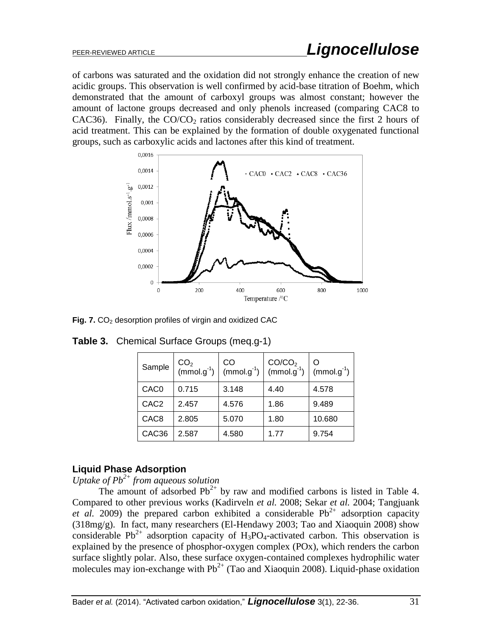of carbons was saturated and the oxidation did not strongly enhance the creation of new acidic groups. This observation is well confirmed by acid-base titration of Boehm, which demonstrated that the amount of carboxyl groups was almost constant; however the amount of lactone groups decreased and only phenols increased (comparing CAC8 to CAC36). Finally, the  $CO/CO<sub>2</sub>$  ratios considerably decreased since the first 2 hours of acid treatment. This can be explained by the formation of double oxygenated functional groups, such as carboxylic acids and lactones after this kind of treatment.



**Fig. 7.** CO<sub>2</sub> desorption profiles of virgin and oxidized CAC

| Sample           | $CO2$ (mmol.g <sup>-1</sup> ) | CO<br>$(mmol.g^{-1})$ | CO/CO <sub>2</sub><br>$(mmol.g^{-1})$ | $(mmol.g^{-1})$ |
|------------------|-------------------------------|-----------------------|---------------------------------------|-----------------|
| CAC <sub>0</sub> | 0.715                         | 3.148                 | 4.40                                  | 4.578           |
| CAC <sub>2</sub> | 2.457                         | 4.576                 | 1.86                                  | 9.489           |
| CAC <sub>8</sub> | 2.805                         | 5.070                 | 1.80                                  | 10.680          |
| CAC36            | 2.587                         | 4.580                 | 1.77                                  | 9.754           |

**Table 3.** Chemical Surface Groups (meq.g-1)

#### **Liquid Phase Adsorption**

*Uptake of Pb2+ from aqueous solution*

The amount of adsorbed  $Pb^{2+}$  by raw and modified carbons is listed in Table 4. Compared to other previous works (Kadirveln *et al.* 2008; Sekar *et al.* 2004; Tangjuank *et al.* 2009) the prepared carbon exhibited a considerable  $Pb^{2+}$  adsorption capacity (318mg/g). In fact, many researchers (El-Hendawy 2003; Tao and Xiaoquin 2008) show considerable Pb<sup>2+</sup> adsorption capacity of H<sub>3</sub>PO<sub>4</sub>-activated carbon. This observation is explained by the presence of phosphor-oxygen complex (POx), which renders the carbon surface slightly polar. Also, these surface oxygen-contained complexes hydrophilic water molecules may ion-exchange with  $Pb^{2+}$  (Tao and Xiaoquin 2008). Liquid-phase oxidation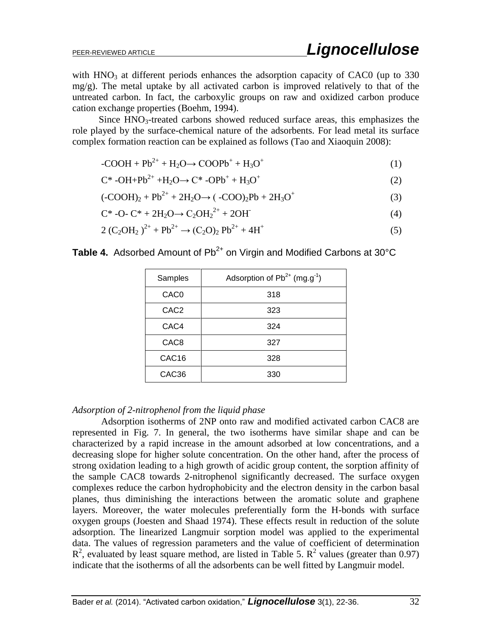with  $HNO<sub>3</sub>$  at different periods enhances the adsorption capacity of CAC0 (up to 330)  $mg/g$ ). The metal uptake by all activated carbon is improved relatively to that of the untreated carbon. In fact, the carboxylic groups on raw and oxidized carbon produce cation exchange properties (Boehm, 1994).

Since  $HNO<sub>3</sub>$ -treated carbons showed reduced surface areas, this emphasizes the role played by the surface-chemical nature of the adsorbents. For lead metal its surface complex formation reaction can be explained as follows (Tao and Xiaoquin 2008):

$$
-COOH + Pb^{2+} + H_2O \rightarrow COOPb^+ + H_3O^+ \tag{1}
$$

$$
C^* -OH + Pb^{2+} + H_2O \rightarrow C^* -OPb^+ + H_3O^+ \tag{2}
$$

$$
(-COOH)_2 + Pb^{2+} + 2H_2O \rightarrow (-COO)_2Pb + 2H_3O^+ \tag{3}
$$

$$
C^* -O-C^* + 2H_2O \to C_2OH_2^{2+} + 2OH
$$
 (4)

$$
2 (C_2OH_2)^{2+} + Pb^{2+} \rightarrow (C_2O)_2 Pb^{2+} + 4H^+ \tag{5}
$$

**Table 4.** Adsorbed Amount of Pb<sup>2+</sup> on Virgin and Modified Carbons at 30°C

| Samples           | Adsorption of $Pb^{2+}$ (mg.g <sup>-1</sup> ) |  |  |
|-------------------|-----------------------------------------------|--|--|
| CAC0              | 318                                           |  |  |
| CAC <sub>2</sub>  | 323                                           |  |  |
| CAC4              | 324                                           |  |  |
| CAC <sub>8</sub>  | 327                                           |  |  |
| CAC <sub>16</sub> | 328                                           |  |  |
| CAC <sub>36</sub> | 330                                           |  |  |

#### *Adsorption of 2-nitrophenol from the liquid phase*

 Adsorption isotherms of 2NP onto raw and modified activated carbon CAC8 are represented in Fig. 7. In general, the two isotherms have similar shape and can be characterized by a rapid increase in the amount adsorbed at low concentrations, and a decreasing slope for higher solute concentration. On the other hand, after the process of strong oxidation leading to a high growth of acidic group content, the sorption affinity of the sample CAC8 towards 2-nitrophenol significantly decreased. The surface oxygen complexes reduce the carbon hydrophobicity and the electron density in the carbon basal planes, thus diminishing the interactions between the aromatic solute and graphene layers. Moreover, the water molecules preferentially form the H-bonds with surface oxygen groups (Joesten and Shaad 1974). These effects result in reduction of the solute adsorption. The linearized Langmuir sorption model was applied to the experimental data. The values of regression parameters and the value of coefficient of determination  $R<sup>2</sup>$ , evaluated by least square method, are listed in Table 5.  $R<sup>2</sup>$  values (greater than 0.97) indicate that the isotherms of all the adsorbents can be well fitted by Langmuir model.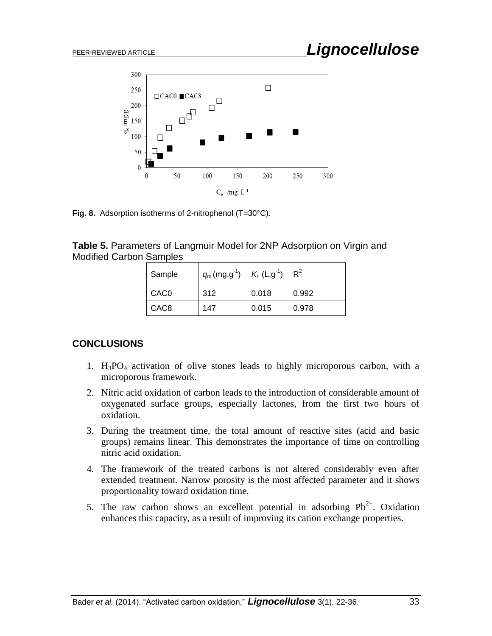

**Fig. 8.** Adsorption isotherms of 2-nitrophenol (T=30°C).

| <b>Table 5. Parameters of Langmuir Model for 2NP Adsorption on Virgin and</b> |  |  |  |
|-------------------------------------------------------------------------------|--|--|--|
| <b>Modified Carbon Samples</b>                                                |  |  |  |

| Sample           | $q_m$ (mg.g <sup>-1</sup> ) | $K_L$ (L.g <sup>-1</sup> ) | $R^2$ |
|------------------|-----------------------------|----------------------------|-------|
| CAC <sub>0</sub> | 312                         | 0.018                      | 0.992 |
| CAC <sub>8</sub> | 147                         | 0.015                      | 0.978 |

### **CONCLUSIONS**

- 1.  $H_3PO_4$  activation of olive stones leads to highly microporous carbon, with a microporous framework.
- 2. Nitric acid oxidation of carbon leads to the introduction of considerable amount of oxygenated surface groups, especially lactones, from the first two hours of oxidation.
- 3. During the treatment time, the total amount of reactive sites (acid and basic groups) remains linear. This demonstrates the importance of time on controlling nitric acid oxidation.
- 4. The framework of the treated carbons is not altered considerably even after extended treatment. Narrow porosity is the most affected parameter and it shows proportionality toward oxidation time.
- 5. The raw carbon shows an excellent potential in adsorbing  $Pb^{2+}$ . Oxidation enhances this capacity, as a result of improving its cation exchange properties.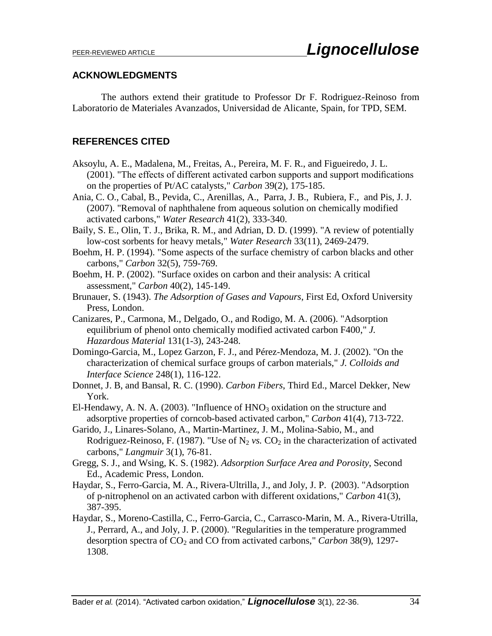#### **ACKNOWLEDGMENTS**

The authors extend their gratitude to Professor Dr F. Rodriguez-Reinoso from Laboratorio de Materiales Avanzados, Universidad de Alicante, Spain, for TPD, SEM.

#### **REFERENCES CITED**

- Aksoylu, A. E., Madalena, M., Freitas, A., Pereira, M. F. R., and Figueiredo, J. L. (2001). "The effects of different activated carbon supports and support modifications on the properties of Pt/AC catalysts," *Carbon* 39(2), 175-185.
- Ania, C. O., Cabal, B., Pevida, C., Arenillas, A., Parra, J. B., Rubiera, F., and Pis, J. J. (2007). "Removal of naphthalene from aqueous solution on chemically modified activated carbons," *Water Research* 41(2), 333-340.
- Baily, S. E., Olin, T. J., Brika, R. M., and Adrian, D. D. (1999). "A review of potentially low-cost sorbents for heavy metals," *Water Research* 33(11), 2469-2479.
- Boehm, H. P. (1994). "Some aspects of the surface chemistry of carbon blacks and other carbons," *Carbon* 32(5), 759-769.
- Boehm, H. P. (2002). "Surface oxides on carbon and their analysis: A critical assessment," *Carbon* 40(2), 145-149.
- Brunauer, S. (1943). *The Adsorption of Gases and Vapours*, First Ed, Oxford University Press, London.
- Canizares, P., Carmona, M., Delgado, O., and Rodigo, M. A. (2006). "Adsorption equilibrium of phenol onto chemically modified activated carbon F400," *J. Hazardous Material* 131(1-3), 243-248.
- Domingo-Garcia, M., Lopez Garzon, F. J., and Pérez-Mendoza, M. J. (2002). "On the characterization of chemical surface groups of carbon materials," *J. Colloids and Interface Science* 248(1), 116-122.
- Donnet, J. B, and Bansal, R. C. (1990). *Carbon Fibers*, Third Ed., Marcel Dekker, New York.
- El-Hendawy, A. N. A. (2003). "Influence of  $HNO<sub>3</sub>$  oxidation on the structure and adsorptive properties of corncob-based activated carbon," *Carbon* 41(4), 713-722.
- Garido, J., Linares-Solano, A., Martin-Martinez, J. M., Molina-Sabio, M., and Rodriguez-Reinoso, F. (1987). "Use of  $N_2$  *vs.*  $CO_2$  in the characterization of activated carbons," *Langmuir* 3(1), 76-81.
- Gregg, S. J., and Wsing, K. S. (1982). *Adsorption Surface Area and Porosity*, Second Ed., Academic Press, London.
- Haydar, S., Ferro-Garcia, M. A., Rivera-Ultrilla, J., and Joly, J. P. (2003). "Adsorption of p-nitrophenol on an activated carbon with different oxidations," *Carbon* 41(3), 387-395.
- Haydar, S., Moreno-Castilla, C., Ferro-Garcia, C., Carrasco-Marin, M. A., Rivera-Utrilla, J., Perrard, A., and Joly, J. P. (2000). "Regularities in the temperature programmed desorption spectra of  $CO<sub>2</sub>$  and CO from activated carbons," *Carbon* 38(9), 1297-1308.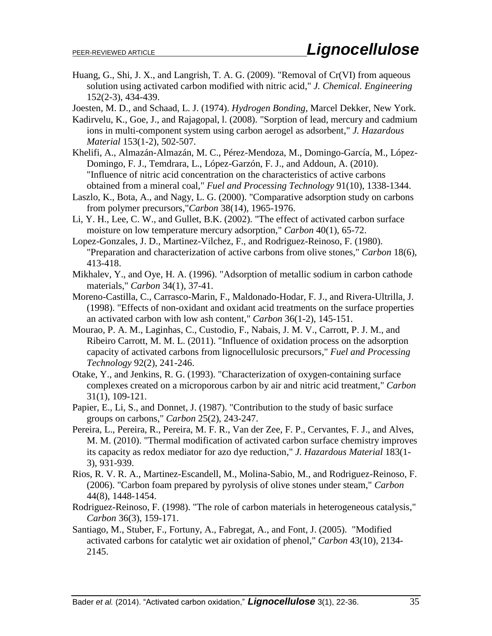Huang, G., Shi, J. X., and Langrish, T. A. G. (2009). "Removal of Cr(VI) from aqueous solution using activated carbon modified with nitric acid," *J. Chemical. Engineering* 152(2-3), 434-439.

Joesten, M. D., and Schaad, L. J. (1974). *Hydrogen Bonding*, Marcel Dekker, New York.

- Kadirvelu, K., Goe, J., and Rajagopal, l. (2008). "Sorption of lead, mercury and cadmium ions in multi-component system using carbon aerogel as adsorbent," *J. Hazardous Material* 153(1-2), 502-507.
- Khelifi, A., Almazán-Almazán, M. C., Pérez-Mendoza, M., Domingo-García, M., López-Domingo, F. J., Temdrara, L., López-Garzón, F. J., and Addoun, A. (2010). "Influence of nitric acid concentration on the characteristics of active carbons obtained from a mineral coal," *Fuel and Processing Technology* 91(10), 1338-1344.
- Laszlo, K., Bota, A., and Nagy, L. G. (2000). "Comparative adsorption study on carbons from polymer precursors,"*Carbon* 38(14), 1965-1976.
- Li, Y. H., Lee, C. W., and Gullet, B.K. (2002). "The effect of activated carbon surface moisture on low temperature mercury adsorption," *Carbon* 40(1), 65-72.
- Lopez-Gonzales, J. D., Martinez-Vilchez, F., and Rodriguez-Reinoso, F. (1980). "Preparation and characterization of active carbons from olive stones," *Carbon* 18(6), 413-418.
- Mikhalev, Y., and Oye, H. A. (1996). "Adsorption of metallic sodium in carbon cathode materials," *Carbon* 34(1), 37-41.
- Moreno-Castilla, C., Carrasco-Marin, F., Maldonado-Hodar, F. J., and Rivera-Ultrilla, J. (1998). "Effects of non-oxidant and oxidant acid treatments on the surface properties an activated carbon with low ash content," *Carbon* 36(1-2), 145-151.
- Mourao, P. A. M., Laginhas, C., Custodio, F., Nabais, J. M. V., Carrott, P. J. M., and Ribeiro Carrott, M. M. L. (2011). "Influence of oxidation process on the adsorption capacity of activated carbons from lignocellulosic precursors," *Fuel and Processing Technology* 92(2), 241-246.
- Otake, Y., and Jenkins, R. G. (1993). "Characterization of oxygen-containing surface complexes created on a microporous carbon by air and nitric acid treatment," *Carbon* 31(1), 109-121.
- Papier, E., Li, S., and Donnet, J. (1987). "Contribution to the study of basic surface groups on carbons," *Carbon* 25(2), 243-247.
- Pereira, L., Pereira, R., Pereira, M. F. R., Van der Zee, F. P., Cervantes, F. J., and Alves, M. M. (2010). "Thermal modification of activated carbon surface chemistry improves its capacity as redox mediator for azo dye reduction," *J. Hazardous Material* 183(1- 3), 931-939.
- Rios, R. V. R. A., Martinez-Escandell, M., Molina-Sabio, M., and Rodriguez-Reinoso, F. (2006). "Carbon foam prepared by pyrolysis of olive stones under steam," *Carbon* 44(8), 1448-1454.
- Rodriguez-Reinoso, F. (1998). "The role of carbon materials in heterogeneous catalysis," *Carbon* 36(3), 159-171.
- Santiago, M., Stuber, F., Fortuny, A., Fabregat, A., and Font, J. (2005). "Modified activated carbons for catalytic wet air oxidation of phenol," *Carbon* 43(10), 2134- 2145.